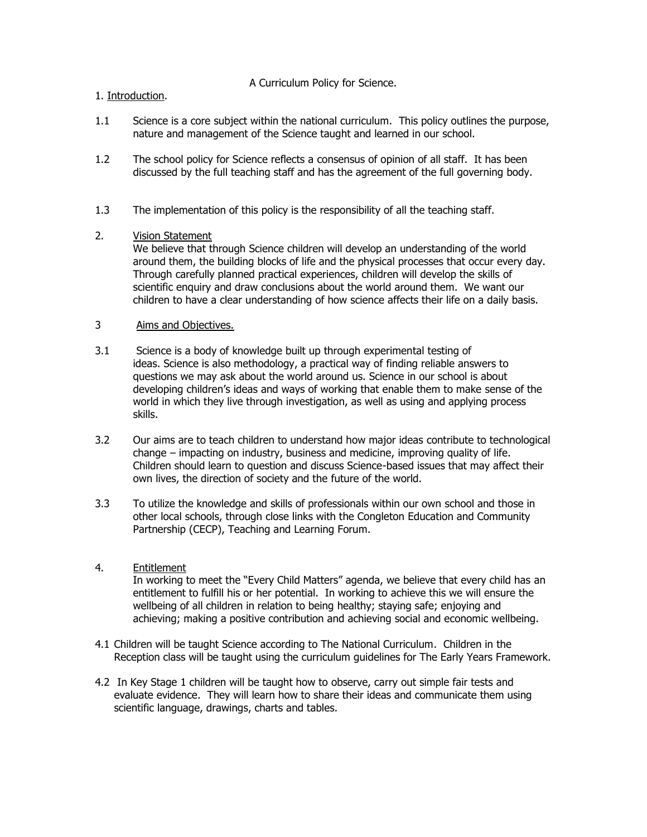A Curriculum Policy for Science.

# 1. Introduction.

- 1.1 Science is a core subject within the national curriculum. This policy outlines the purpose, nature and management of the Science taught and learned in our school.
- 1.2 The school policy for Science reflects a consensus of opinion of all staff. It has been discussed by the full teaching staff and has the agreement of the full governing body.
- 1.3 The implementation of this policy is the responsibility of all the teaching staff.

## 2. Vision Statement

We believe that through Science children will develop an understanding of the world around them, the building blocks of life and the physical processes that occur every day. Through carefully planned practical experiences, children will develop the skills of scientific enquiry and draw conclusions about the world around them. We want our children to have a clear understanding of how science affects their life on a daily basis.

## 3 Aims and Objectives.

- 3.1 Science is a body of knowledge built up through experimental testing of ideas. Science is also methodology, a practical way of finding reliable answers to questions we may ask about the world around us. Science in our school is about developing children's ideas and ways of working that enable them to make sense of the world in which they live through investigation, as well as using and applying process skills.
- 3.2 Our aims are to teach children to understand how major ideas contribute to technological change – impacting on industry, business and medicine, improving quality of life. Children should learn to question and discuss Science-based issues that may affect their own lives, the direction of society and the future of the world.
- 3.3 To utilize the knowledge and skills of professionals within our own school and those in other local schools, through close links with the Congleton Education and Community Partnership (CECP), Teaching and Learning Forum.

#### 4. Entitlement

In working to meet the "Every Child Matters" agenda, we believe that every child has an entitlement to fulfill his or her potential. In working to achieve this we will ensure the wellbeing of all children in relation to being healthy; staying safe; enjoying and achieving; making a positive contribution and achieving social and economic wellbeing.

- 4.1 Children will be taught Science according to The National Curriculum. Children in the Reception class will be taught using the curriculum guidelines for The Early Years Framework.
- 4.2 In Key Stage 1 children will be taught how to observe, carry out simple fair tests and evaluate evidence. They will learn how to share their ideas and communicate them using scientific language, drawings, charts and tables.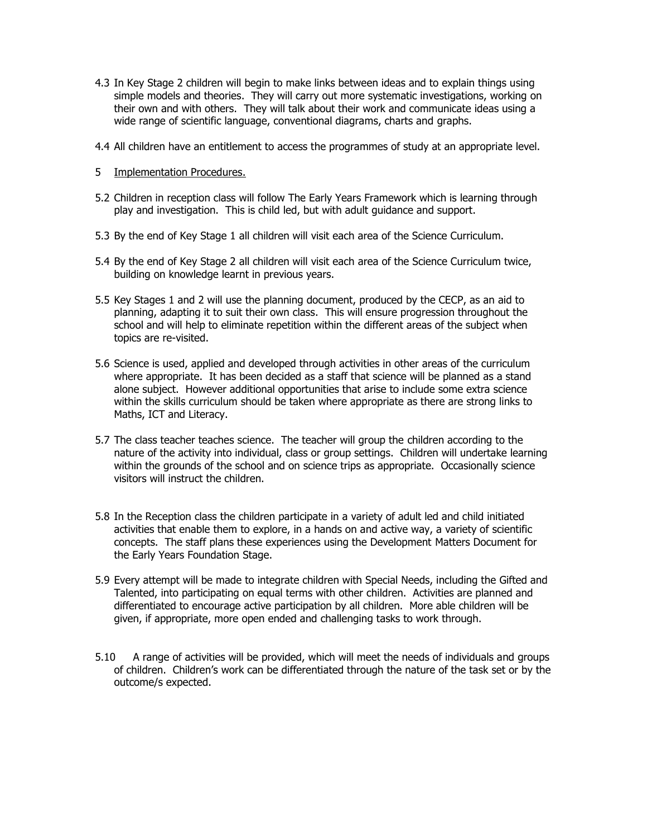- 4.3 In Key Stage 2 children will begin to make links between ideas and to explain things using simple models and theories. They will carry out more systematic investigations, working on their own and with others. They will talk about their work and communicate ideas using a wide range of scientific language, conventional diagrams, charts and graphs.
- 4.4 All children have an entitlement to access the programmes of study at an appropriate level.
- 5 Implementation Procedures.
- 5.2 Children in reception class will follow The Early Years Framework which is learning through play and investigation. This is child led, but with adult guidance and support.
- 5.3 By the end of Key Stage 1 all children will visit each area of the Science Curriculum.
- 5.4 By the end of Key Stage 2 all children will visit each area of the Science Curriculum twice, building on knowledge learnt in previous years.
- 5.5 Key Stages 1 and 2 will use the planning document, produced by the CECP, as an aid to planning, adapting it to suit their own class. This will ensure progression throughout the school and will help to eliminate repetition within the different areas of the subject when topics are re-visited.
- 5.6 Science is used, applied and developed through activities in other areas of the curriculum where appropriate. It has been decided as a staff that science will be planned as a stand alone subject. However additional opportunities that arise to include some extra science within the skills curriculum should be taken where appropriate as there are strong links to Maths, ICT and Literacy.
- 5.7 The class teacher teaches science. The teacher will group the children according to the nature of the activity into individual, class or group settings. Children will undertake learning within the grounds of the school and on science trips as appropriate. Occasionally science visitors will instruct the children.
- 5.8 In the Reception class the children participate in a variety of adult led and child initiated activities that enable them to explore, in a hands on and active way, a variety of scientific concepts. The staff plans these experiences using the Development Matters Document for the Early Years Foundation Stage.
- 5.9 Every attempt will be made to integrate children with Special Needs, including the Gifted and Talented, into participating on equal terms with other children. Activities are planned and differentiated to encourage active participation by all children. More able children will be given, if appropriate, more open ended and challenging tasks to work through.
- 5.10 A range of activities will be provided, which will meet the needs of individuals and groups of children. Children's work can be differentiated through the nature of the task set or by the outcome/s expected.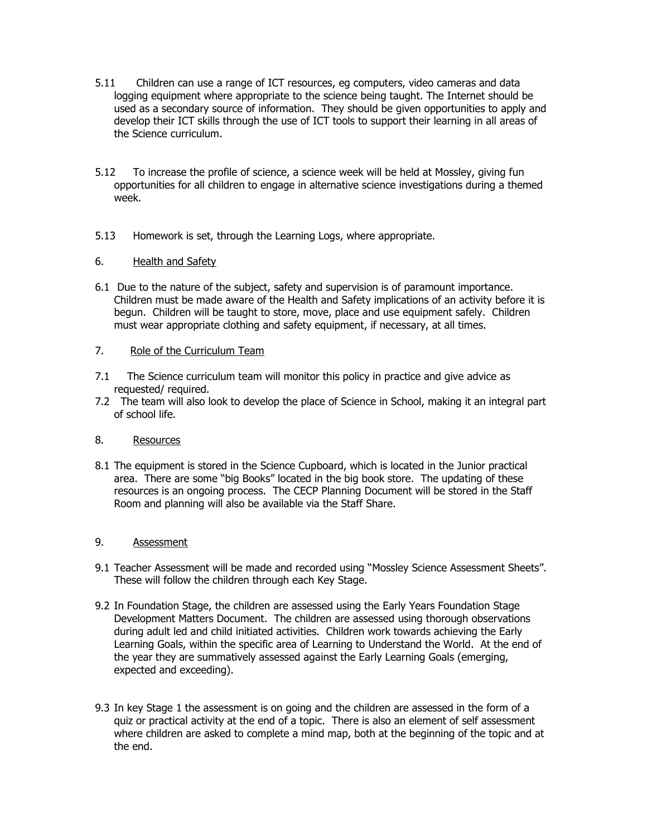- 5.11 Children can use a range of ICT resources, eg computers, video cameras and data logging equipment where appropriate to the science being taught. The Internet should be used as a secondary source of information. They should be given opportunities to apply and develop their ICT skills through the use of ICT tools to support their learning in all areas of the Science curriculum.
- 5.12 To increase the profile of science, a science week will be held at Mossley, giving fun opportunities for all children to engage in alternative science investigations during a themed week.
- 5.13 Homework is set, through the Learning Logs, where appropriate.

# 6. Health and Safety

6.1 Due to the nature of the subject, safety and supervision is of paramount importance. Children must be made aware of the Health and Safety implications of an activity before it is begun. Children will be taught to store, move, place and use equipment safely. Children must wear appropriate clothing and safety equipment, if necessary, at all times.

# 7. Role of the Curriculum Team

- 7.1 The Science curriculum team will monitor this policy in practice and give advice as requested/ required.
- 7.2 The team will also look to develop the place of Science in School, making it an integral part of school life.

# 8. Resources

8.1 The equipment is stored in the Science Cupboard, which is located in the Junior practical area. There are some "big Books" located in the big book store. The updating of these resources is an ongoing process. The CECP Planning Document will be stored in the Staff Room and planning will also be available via the Staff Share.

# 9. Assessment

- 9.1 Teacher Assessment will be made and recorded using "Mossley Science Assessment Sheets". These will follow the children through each Key Stage.
- 9.2 In Foundation Stage, the children are assessed using the Early Years Foundation Stage Development Matters Document. The children are assessed using thorough observations during adult led and child initiated activities. Children work towards achieving the Early Learning Goals, within the specific area of Learning to Understand the World. At the end of the year they are summatively assessed against the Early Learning Goals (emerging, expected and exceeding).
- 9.3 In key Stage 1 the assessment is on going and the children are assessed in the form of a quiz or practical activity at the end of a topic. There is also an element of self assessment where children are asked to complete a mind map, both at the beginning of the topic and at the end.